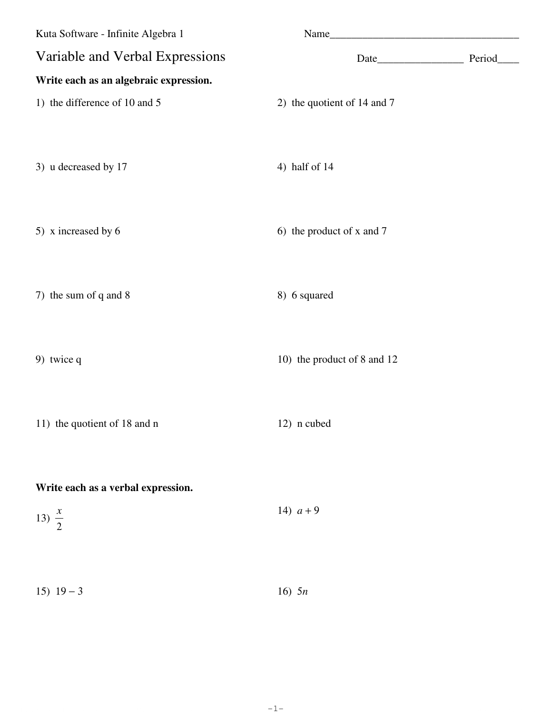| Kuta Software - Infinite Algebra 1     |                             |  |
|----------------------------------------|-----------------------------|--|
| Variable and Verbal Expressions        |                             |  |
| Write each as an algebraic expression. |                             |  |
| 1) the difference of 10 and 5          | 2) the quotient of 14 and 7 |  |
|                                        |                             |  |
| 3) u decreased by 17                   | 4) half of $14$             |  |
|                                        |                             |  |
| 5) x increased by 6                    | 6) the product of x and 7   |  |
|                                        |                             |  |
|                                        |                             |  |
| 7) the sum of q and 8                  | 8) 6 squared                |  |
|                                        |                             |  |
| 9) twice q                             | 10) the product of 8 and 12 |  |
|                                        |                             |  |
| 11) the quotient of 18 and n           | 12) n cubed                 |  |
|                                        |                             |  |
| Write each as a verbal expression.     |                             |  |
| 13) $\frac{x}{2}$                      | 14) $a+9$                   |  |
|                                        |                             |  |
|                                        |                             |  |
| $15)$ $19-3$                           | 16) $5n$                    |  |

© 2011 Kuta Software LLC, All rights reserved. Made with Inflate Algebra 1.  $-1 \cdots$   $-1 \cdots$  . Worksheet by Kuta Software LLC -1-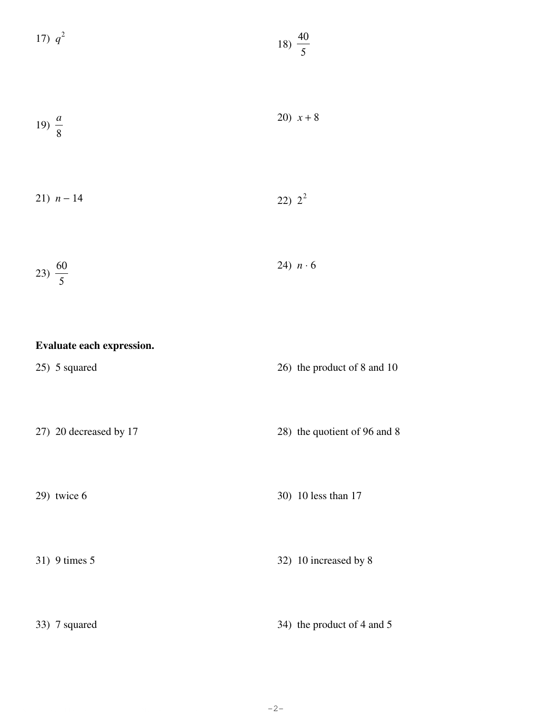| 17) $q^2$          |                           | 18) $\frac{40}{5}$ |                              |
|--------------------|---------------------------|--------------------|------------------------------|
| 19) $\frac{a}{8}$  |                           |                    | 20) $x + 8$                  |
| 21) $n - 14$       |                           | 22) $2^2$          |                              |
| 23) $\frac{60}{5}$ |                           |                    | 24) $n \cdot 6$              |
|                    | Evaluate each expression. |                    |                              |
| 25) 5 squared      |                           |                    | 26) the product of 8 and 10  |
|                    | 27) 20 decreased by 17    |                    | 28) the quotient of 96 and 8 |
| 29) twice 6        |                           |                    | 30) 10 less than 17          |
| 31) 9 times 5      |                           |                    | 32) 10 increased by 8        |
| 33) 7 squared      |                           |                    | 34) the product of 4 and 5   |

 $-2-$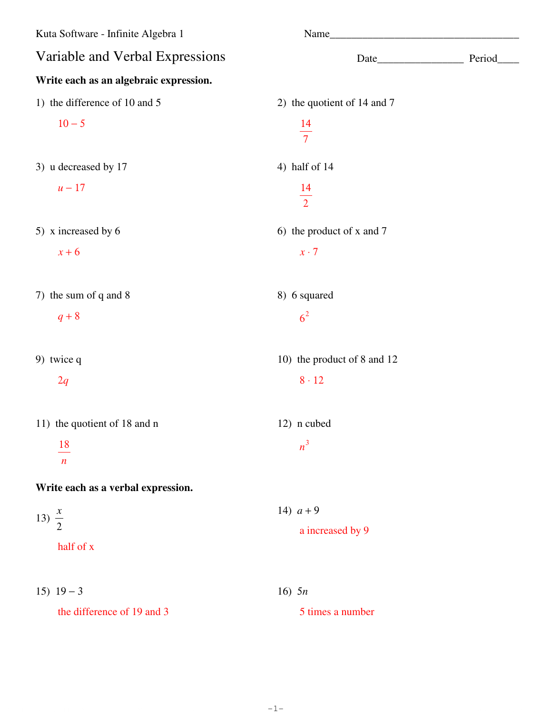| Kuta Software - Infinite Algebra 1              |                             |  |
|-------------------------------------------------|-----------------------------|--|
| Variable and Verbal Expressions                 |                             |  |
| Write each as an algebraic expression.          |                             |  |
| 1) the difference of 10 and 5                   | 2) the quotient of 14 and 7 |  |
| $10 - 5$                                        | $\frac{14}{7}$              |  |
| 3) u decreased by 17                            | 4) half of 14               |  |
| $u-17$                                          | $\frac{14}{2}$              |  |
| 5) x increased by 6                             | 6) the product of x and 7   |  |
| $x+6$                                           | $x \cdot 7$                 |  |
| 7) the sum of q and 8                           | 8) 6 squared                |  |
| $q+8$                                           | 6 <sup>2</sup>              |  |
| 9) twice q                                      | 10) the product of 8 and 12 |  |
| 2q                                              | $8 \cdot 12$                |  |
| 11) the quotient of 18 and n                    | 12) n cubed                 |  |
| $\underline{\phantom{a}18}$<br>$\boldsymbol{n}$ | $n^3$                       |  |
| Write each as a verbal expression.              |                             |  |
| 13) $\frac{x}{2}$                               | 14) $a + 9$                 |  |
| half of x                                       | a increased by 9            |  |
| 15) $19-3$                                      | 16) $5n$                    |  |
| the difference of 19 and 3                      | 5 times a number            |  |

©l M2j0b1o17 aKyuRtBaF RSCoYf7tKw7axrseh dLkL5CC.d <sup>i</sup> PAjlOlO 8rJijg0hmtfsg HrJepsjeJrmv3eXdH.H <sup>S</sup> 2Mbaud6eE JwhiTtEhM XI4nGfi yn5ipt3eu mArlTgCedbFrTa4 u1R.x Worksheet by Kuta Software LLC -1-